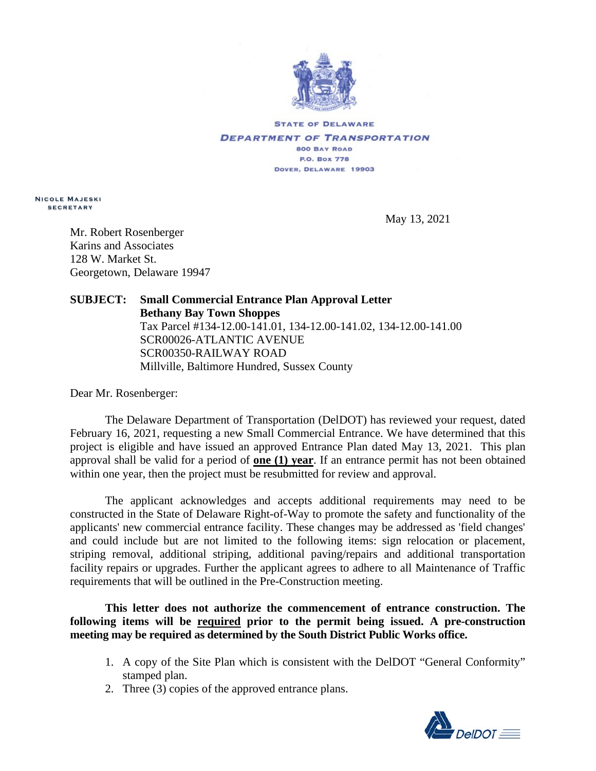

**STATE OF DELAWARE DEPARTMENT OF TRANSPORTATION 800 BAY ROAD P.O. Box 778** DOVER, DELAWARE 19903

**Nicole Majeski secretary**

May 13, 2021

Mr. Robert Rosenberger Karins and Associates 128 W. Market St. Georgetown, Delaware 19947

## **SUBJECT: Small Commercial Entrance Plan Approval Letter Bethany Bay Town Shoppes** Tax Parcel #134-12.00-141.01, 134-12.00-141.02, 134-12.00-141.00 SCR00026-ATLANTIC AVENUE SCR00350-RAILWAY ROAD Millville, Baltimore Hundred, Sussex County

Dear Mr. Rosenberger:

The Delaware Department of Transportation (DelDOT) has reviewed your request, dated February 16, 2021, requesting a new Small Commercial Entrance. We have determined that this project is eligible and have issued an approved Entrance Plan dated May 13, 2021. This plan approval shall be valid for a period of **one (1) year**. If an entrance permit has not been obtained within one year, then the project must be resubmitted for review and approval.

The applicant acknowledges and accepts additional requirements may need to be constructed in the State of Delaware Right-of-Way to promote the safety and functionality of the applicants' new commercial entrance facility. These changes may be addressed as 'field changes' and could include but are not limited to the following items: sign relocation or placement, striping removal, additional striping, additional paving/repairs and additional transportation facility repairs or upgrades. Further the applicant agrees to adhere to all Maintenance of Traffic requirements that will be outlined in the Pre-Construction meeting.

**This letter does not authorize the commencement of entrance construction. The following items will be required prior to the permit being issued. A pre-construction meeting may be required as determined by the South District Public Works office.**

- 1. A copy of the Site Plan which is consistent with the DelDOT "General Conformity" stamped plan.
- 2. Three (3) copies of the approved entrance plans.